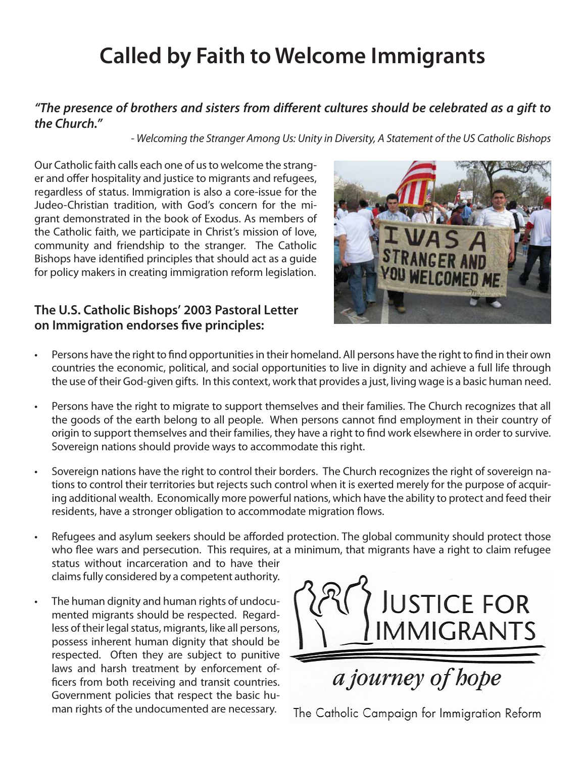# **Called by Faith to Welcome Immigrants**

#### *"The presence of brothers and sisters from different cultures should be celebrated as a gift to the Church."*

*- Welcoming the Stranger Among Us: Unity in Diversity, A Statement of the US Catholic Bishops* 

Our Catholic faith calls each one of us to welcome the stranger and offer hospitality and justice to migrants and refugees, regardless of status. Immigration is also a core-issue for the Judeo-Christian tradition, with God's concern for the migrant demonstrated in the book of Exodus. As members of the Catholic faith, we participate in Christ's mission of love, community and friendship to the stranger. The Catholic Bishops have identified principles that should act as a guide for policy makers in creating immigration reform legislation.

#### **The U.S. Catholic Bishops' 2003 Pastoral Letter on Immigration endorses five principles:**



- • Persons have the right to find opportunities in their homeland. All persons have the right to find in their own countries the economic, political, and social opportunities to live in dignity and achieve a full life through the use of their God-given gifts. In this context, work that provides a just, living wage is a basic human need.
- Persons have the right to migrate to support themselves and their families. The Church recognizes that all the goods of the earth belong to all people. When persons cannot find employment in their country of origin to support themselves and their families, they have a right to find work elsewhere in order to survive. Sovereign nations should provide ways to accommodate this right.
- Sovereign nations have the right to control their borders. The Church recognizes the right of sovereign nations to control their territories but rejects such control when it is exerted merely for the purpose of acquiring additional wealth. Economically more powerful nations, which have the ability to protect and feed their residents, have a stronger obligation to accommodate migration flows.
- Refugees and asylum seekers should be afforded protection. The global community should protect those who flee wars and persecution. This requires, at a minimum, that migrants have a right to claim refugee status without incarceration and to have their claims fully considered by a competent authority.
- • The human dignity and human rights of undocumented migrants should be respected. Regardless of their legal status, migrants, like all persons, possess inherent human dignity that should be respected. Often they are subject to punitive laws and harsh treatment by enforcement officers from both receiving and transit countries. Government policies that respect the basic human rights of the undocumented are necessary.



The Catholic Campaign for Immigration Reform